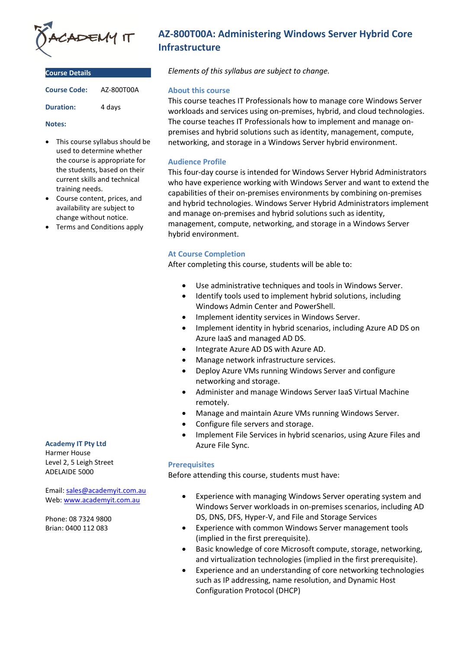

| <b>Course Details</b> |            |
|-----------------------|------------|
| <b>Course Code:</b>   | AZ-800T00A |
| <b>Duration:</b>      | 4 days     |

#### **Notes:**

- This course syllabus should be used to determine whether the course is appropriate for the students, based on their current skills and technical training needs.
- Course content, prices, and availability are subject to change without notice.
- Terms and Conditions apply

#### **Academy IT Pty Ltd**

Harmer House Level 2, 5 Leigh Street ADELAIDE 5000

Email: [sales@academyit.com.au](mailto:sales@academyit.com.au) Web: [www.academyit.com.au](http://www.academyit.com.au/)

Phone: 08 7324 9800 Brian: 0400 112 083

# **AZ-800T00A: Administering Windows Server Hybrid Core Infrastructure**

*Elements of this syllabus are subject to change.*

## **About this course**

This course teaches IT Professionals how to manage core Windows Server workloads and services using on-premises, hybrid, and cloud technologies. The course teaches IT Professionals how to implement and manage onpremises and hybrid solutions such as identity, management, compute, networking, and storage in a Windows Server hybrid environment.

## **Audience Profile**

This four-day course is intended for Windows Server Hybrid Administrators who have experience working with Windows Server and want to extend the capabilities of their on-premises environments by combining on-premises and hybrid technologies. Windows Server Hybrid Administrators implement and manage on-premises and hybrid solutions such as identity, management, compute, networking, and storage in a Windows Server hybrid environment.

## **At Course Completion**

After completing this course, students will be able to:

- Use administrative techniques and tools in Windows Server.
- Identify tools used to implement hybrid solutions, including Windows Admin Center and PowerShell.
- Implement identity services in Windows Server.
- Implement identity in hybrid scenarios, including Azure AD DS on Azure IaaS and managed AD DS.
- Integrate Azure AD DS with Azure AD.
- Manage network infrastructure services.
- Deploy Azure VMs running Windows Server and configure networking and storage.
- Administer and manage Windows Server IaaS Virtual Machine remotely.
- Manage and maintain Azure VMs running Windows Server.
- Configure file servers and storage.
- Implement File Services in hybrid scenarios, using Azure Files and Azure File Sync.

## **Prerequisites**

Before attending this course, students must have:

- Experience with managing Windows Server operating system and Windows Server workloads in on-premises scenarios, including AD DS, DNS, DFS, Hyper-V, and File and Storage Services
- Experience with common Windows Server management tools (implied in the first prerequisite).
- Basic knowledge of core Microsoft compute, storage, networking, and virtualization technologies (implied in the first prerequisite).
- Experience and an understanding of core networking technologies such as IP addressing, name resolution, and Dynamic Host Configuration Protocol (DHCP)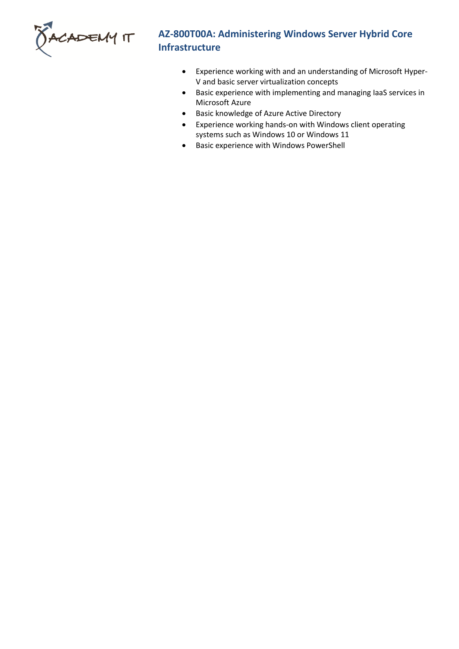

# **AZ-800T00A: Administering Windows Server Hybrid Core Infrastructure**

- Experience working with and an understanding of Microsoft Hyper-V and basic server virtualization concepts
- Basic experience with implementing and managing IaaS services in Microsoft Azure
- Basic knowledge of Azure Active Directory
- Experience working hands-on with Windows client operating systems such as Windows 10 or Windows 11
- Basic experience with Windows PowerShell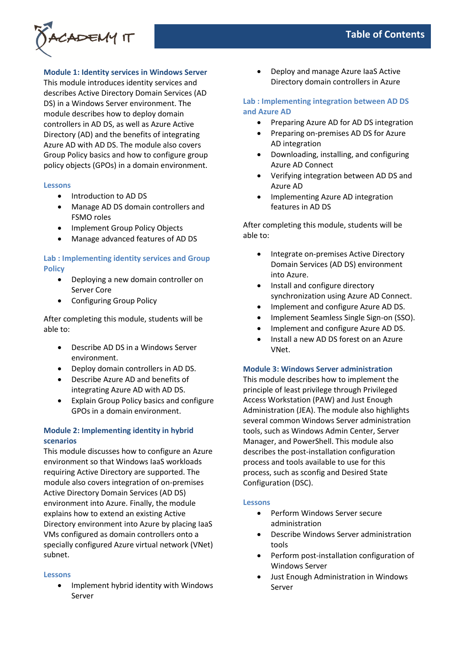

**Module 1: Identity services in Windows Server**

This module introduces identity services and describes Active Directory Domain Services (AD DS) in a Windows Server environment. The module describes how to deploy domain controllers in AD DS, as well as Azure Active Directory (AD) and the benefits of integrating Azure AD with AD DS. The module also covers Group Policy basics and how to configure group policy objects (GPOs) in a domain environment.

## **Lessons**

- Introduction to AD DS
- Manage AD DS domain controllers and FSMO roles
- Implement Group Policy Objects
- Manage advanced features of AD DS

# **Lab : Implementing identity services and Group Policy**

- Deploying a new domain controller on Server Core
- Configuring Group Policy

After completing this module, students will be able to:

- Describe AD DS in a Windows Server environment.
- Deploy domain controllers in AD DS.
- Describe Azure AD and benefits of integrating Azure AD with AD DS.
- Explain Group Policy basics and configure GPOs in a domain environment.

# **Module 2: Implementing identity in hybrid scenarios**

This module discusses how to configure an Azure environment so that Windows IaaS workloads requiring Active Directory are supported. The module also covers integration of on-premises Active Directory Domain Services (AD DS) environment into Azure. Finally, the module explains how to extend an existing Active Directory environment into Azure by placing IaaS VMs configured as domain controllers onto a specially configured Azure virtual network (VNet) subnet.

## **Lessons**

• Implement hybrid identity with Windows Server

• Deploy and manage Azure IaaS Active Directory domain controllers in Azure

# **Lab : Implementing integration between AD DS and Azure AD**

- Preparing Azure AD for AD DS integration
- Preparing on-premises AD DS for Azure AD integration
- Downloading, installing, and configuring Azure AD Connect
- Verifying integration between AD DS and Azure AD
- Implementing Azure AD integration features in AD DS

After completing this module, students will be able to:

- Integrate on-premises Active Directory Domain Services (AD DS) environment into Azure.
- Install and configure directory synchronization using Azure AD Connect.
- Implement and configure Azure AD DS.
- Implement Seamless Single Sign-on (SSO).
- Implement and configure Azure AD DS.
- Install a new AD DS forest on an Azure VNet.

## **Module 3: Windows Server administration**

This module describes how to implement the principle of least privilege through Privileged Access Workstation (PAW) and Just Enough Administration (JEA). The module also highlights several common Windows Server administration tools, such as Windows Admin Center, Server Manager, and PowerShell. This module also describes the post-installation configuration process and tools available to use for this process, such as sconfig and Desired State Configuration (DSC).

## **Lessons**

- Perform Windows Server secure administration
- Describe Windows Server administration tools
- Perform post-installation configuration of Windows Server
- Just Enough Administration in Windows Server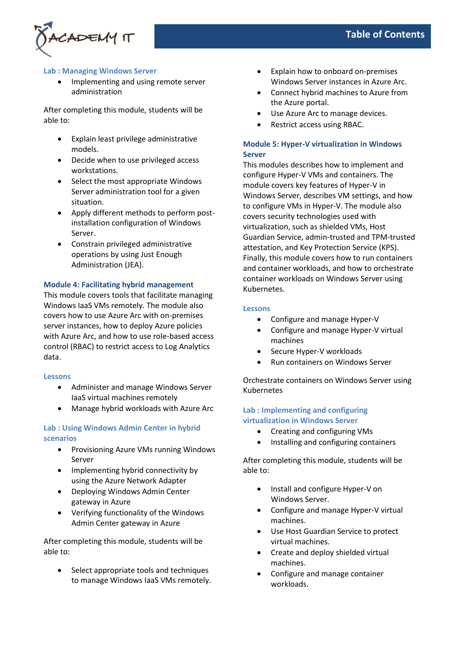# ADEMY IT

# **Table of Contents**

# **Lab : Managing Windows Server**

• Implementing and using remote server administration

After completing this module, students will be able to:

- Explain least privilege administrative models.
- Decide when to use privileged access workstations.
- Select the most appropriate Windows Server administration tool for a given situation.
- Apply different methods to perform postinstallation configuration of Windows Server.
- Constrain privileged administrative operations by using Just Enough Administration (JEA).

# **Module 4: Facilitating hybrid management**

This module covers tools that facilitate managing Windows IaaS VMs remotely. The module also covers how to use Azure Arc with on-premises server instances, how to deploy Azure policies with Azure Arc, and how to use role-based access control (RBAC) to restrict access to Log Analytics data.

# **Lessons**

- Administer and manage Windows Server IaaS virtual machines remotely
- Manage hybrid workloads with Azure Arc

# **Lab : Using Windows Admin Center in hybrid scenarios**

- Provisioning Azure VMs running Windows Server
- Implementing hybrid connectivity by using the Azure Network Adapter
- Deploying Windows Admin Center gateway in Azure
- Verifying functionality of the Windows Admin Center gateway in Azure

After completing this module, students will be able to:

Select appropriate tools and techniques to manage Windows IaaS VMs remotely.

- Explain how to onboard on-premises Windows Server instances in Azure Arc.
- Connect hybrid machines to Azure from the Azure portal.
- Use Azure Arc to manage devices.
- Restrict access using RBAC.

# **Module 5: Hyper-V virtualization in Windows Server**

This modules describes how to implement and configure Hyper-V VMs and containers. The module covers key features of Hyper-V in Windows Server, describes VM settings, and how to configure VMs in Hyper-V. The module also covers security technologies used with virtualization, such as shielded VMs, Host Guardian Service, admin-trusted and TPM-trusted attestation, and Key Protection Service (KPS). Finally, this module covers how to run containers and container workloads, and how to orchestrate container workloads on Windows Server using Kubernetes.

# **Lessons**

- Configure and manage Hyper-V
- Configure and manage Hyper-V virtual machines
- Secure Hyper-V workloads
- Run containers on Windows Server

Orchestrate containers on Windows Server using Kubernetes

# **Lab : Implementing and configuring virtualization in Windows Server**

- Creating and configuring VMs
- Installing and configuring containers

After completing this module, students will be able to:

- Install and configure Hyper-V on Windows Server.
- Configure and manage Hyper-V virtual machines.
- Use Host Guardian Service to protect virtual machines.
- Create and deploy shielded virtual machines.
- Configure and manage container workloads.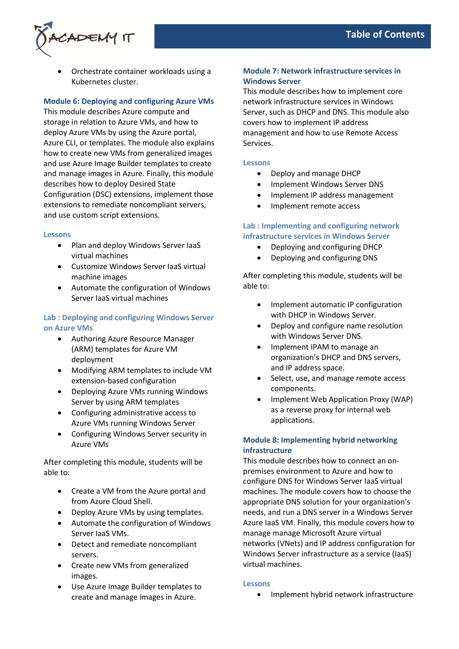

• Orchestrate container workloads using a Kubernetes cluster.

## **Module 6: Deploying and configuring Azure VMs**

This module describes Azure compute and storage in relation to Azure VMs, and how to deploy Azure VMs by using the Azure portal, Azure CLI, or templates. The module also explains how to create new VMs from generalized images and use Azure Image Builder templates to create and manage images in Azure. Finally, this module describes how to deploy Desired State Configuration (DSC) extensions, implement those extensions to remediate noncompliant servers, and use custom script extensions.

#### **Lessons**

- Plan and deploy Windows Server IaaS virtual machines
- Customize Windows Server IaaS virtual machine images
- Automate the configuration of Windows Server IaaS virtual machines

# **Lab : Deploying and configuring Windows Server on Azure VMs**

- Authoring Azure Resource Manager (ARM) templates for Azure VM deployment
- Modifying ARM templates to include VM extension-based configuration
- Deploying Azure VMs running Windows Server by using ARM templates
- Configuring administrative access to Azure VMs running Windows Server
- Configuring Windows Server security in Azure VMs

After completing this module, students will be able to:

- Create a VM from the Azure portal and from Azure Cloud Shell.
- Deploy Azure VMs by using templates.
- Automate the configuration of Windows Server IaaS VMs.
- Detect and remediate noncompliant servers.
- Create new VMs from generalized images.
- Use Azure Image Builder templates to create and manage images in Azure.

## **Module 7: Network infrastructure services in Windows Server**

This module describes how to implement core network infrastructure services in Windows Server, such as DHCP and DNS. This module also covers how to implement IP address management and how to use Remote Access Services.

## **Lessons**

- Deploy and manage DHCP
- Implement Windows Server DNS
- Implement IP address management
- Implement remote access

# **Lab : Implementing and configuring network infrastructure services in Windows Server**

- Deploying and configuring DHCP
- Deploying and configuring DNS

After completing this module, students will be able to:

- Implement automatic IP configuration with DHCP in Windows Server.
- Deploy and configure name resolution with Windows Server DNS.
- Implement IPAM to manage an organization's DHCP and DNS servers, and IP address space.
- Select, use, and manage remote access components.
- Implement Web Application Proxy (WAP) as a reverse proxy for internal web applications.

# **Module 8: Implementing hybrid networking infrastructure**

This module describes how to connect an onpremises environment to Azure and how to configure DNS for Windows Server IaaS virtual machines. The module covers how to choose the appropriate DNS solution for your organization's needs, and run a DNS server in a Windows Server Azure IaaS VM. Finally, this module covers how to manage manage Microsoft Azure virtual networks (VNets) and IP address configuration for Windows Server infrastructure as a service (IaaS) virtual machines.

## **Lessons**

• Implement hybrid network infrastructure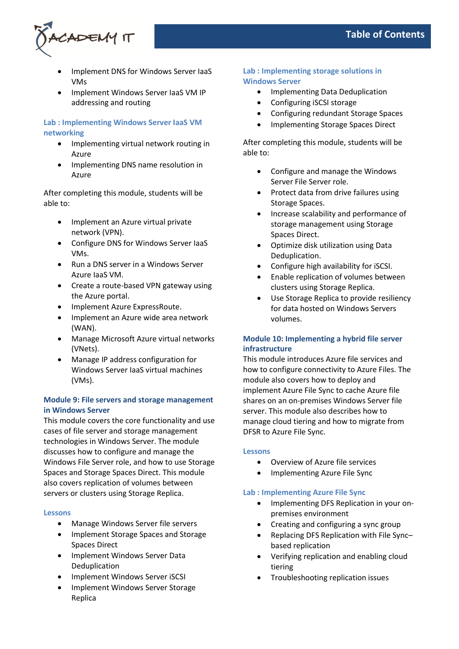

- Implement DNS for Windows Server IaaS VMs
- Implement Windows Server IaaS VM IP addressing and routing

# **Lab : Implementing Windows Server IaaS VM networking**

- Implementing virtual network routing in Azure
- Implementing DNS name resolution in Azure

After completing this module, students will be able to:

- Implement an Azure virtual private network (VPN).
- Configure DNS for Windows Server IaaS VMs.
- Run a DNS server in a Windows Server Azure IaaS VM.
- Create a route-based VPN gateway using the Azure portal.
- Implement Azure ExpressRoute.
- Implement an Azure wide area network (WAN).
- Manage Microsoft Azure virtual networks (VNets).
- Manage IP address configuration for Windows Server IaaS virtual machines (VMs).

# **Module 9: File servers and storage management in Windows Server**

This module covers the core functionality and use cases of file server and storage management technologies in Windows Server. The module discusses how to configure and manage the Windows File Server role, and how to use Storage Spaces and Storage Spaces Direct. This module also covers replication of volumes between servers or clusters using Storage Replica.

## **Lessons**

- Manage Windows Server file servers
- Implement Storage Spaces and Storage Spaces Direct
- Implement Windows Server Data Deduplication
- Implement Windows Server iSCSI
- Implement Windows Server Storage Replica

# **Lab : Implementing storage solutions in Windows Server**

- Implementing Data Deduplication
- Configuring iSCSI storage
- Configuring redundant Storage Spaces
- Implementing Storage Spaces Direct

After completing this module, students will be able to:

- Configure and manage the Windows Server File Server role.
- Protect data from drive failures using Storage Spaces.
- Increase scalability and performance of storage management using Storage Spaces Direct.
- Optimize disk utilization using Data Deduplication.
- Configure high availability for iSCSI.
- Enable replication of volumes between clusters using Storage Replica.
- Use Storage Replica to provide resiliency for data hosted on Windows Servers volumes.

# **Module 10: Implementing a hybrid file server infrastructure**

This module introduces Azure file services and how to configure connectivity to Azure Files. The module also covers how to deploy and implement Azure File Sync to cache Azure file shares on an on-premises Windows Server file server. This module also describes how to manage cloud tiering and how to migrate from DFSR to Azure File Sync.

## **Lessons**

- Overview of Azure file services
- Implementing Azure File Sync

## **Lab : Implementing Azure File Sync**

- Implementing DFS Replication in your onpremises environment
- Creating and configuring a sync group
- Replacing DFS Replication with File Sync– based replication
- Verifying replication and enabling cloud tiering
- Troubleshooting replication issues